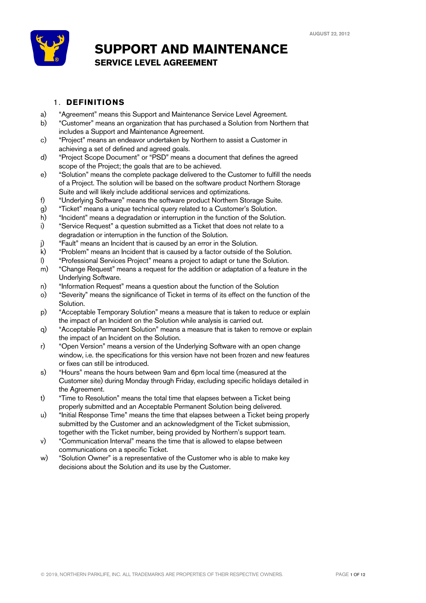

## **SUPPORT AND MAINTENANCE SERVICE LEVEL AGREEMENT**

## 1. **DEFINITIONS**

- a) "Agreement" means this Support and Maintenance Service Level Agreement.
- b) "Customer" means an organization that has purchased a Solution from Northern that includes a Support and Maintenance Agreement.
- c) "Project" means an endeavor undertaken by Northern to assist a Customer in achieving a set of defined and agreed goals.
- d) "Project Scope Document" or "PSD" means a document that defines the agreed scope of the Project; the goals that are to be achieved.
- e) "Solution" means the complete package delivered to the Customer to fulfill the needs of a Project. The solution will be based on the software product Northern Storage Suite and will likely include additional services and optimizations.
- f) "Underlying Software" means the software product Northern Storage Suite.
- g) "Ticket" means a unique technical query related to a Customer's Solution.
- h) "Incident" means a degradation or interruption in the function of the Solution.
- i) "Service Request" a question submitted as a Ticket that does not relate to a degradation or interruption in the function of the Solution.
- j) "Fault" means an Incident that is caused by an error in the Solution.
- k) "Problem" means an Incident that is caused by a factor outside of the Solution.
- l) "Professional Services Project" means a project to adapt or tune the Solution.
- m) "Change Request" means a request for the addition or adaptation of a feature in the Underlying Software.
- n) "Information Request" means a question about the function of the Solution
- o) "Severity" means the significance of Ticket in terms of its effect on the function of the Solution.
- p) "Acceptable Temporary Solution" means a measure that is taken to reduce or explain the impact of an Incident on the Solution while analysis is carried out.
- q) "Acceptable Permanent Solution" means a measure that is taken to remove or explain the impact of an Incident on the Solution.
- r) "Open Version" means a version of the Underlying Software with an open change window, i.e. the specifications for this version have not been frozen and new features or fixes can still be introduced.
- s) "Hours" means the hours between 9am and 6pm local time (measured at the Customer site) during Monday through Friday, excluding specific holidays detailed in the Agreement.
- t) "Time to Resolution" means the total time that elapses between a Ticket being properly submitted and an Acceptable Permanent Solution being delivered.
- u) "Initial Response Time" means the time that elapses between a Ticket being properly submitted by the Customer and an acknowledgment of the Ticket submission, together with the Ticket number, being provided by Northern's support team.
- v) "Communication Interval" means the time that is allowed to elapse between communications on a specific Ticket.
- w) "Solution Owner" is a representative of the Customer who is able to make key decisions about the Solution and its use by the Customer.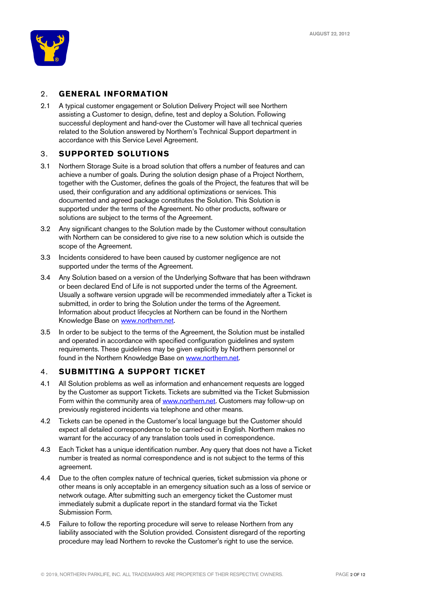

### 2. **GENERAL INFORMATION**

2.1 A typical customer engagement or Solution Delivery Project will see Northern assisting a Customer to design, define, test and deploy a Solution. Following successful deployment and hand-over the Customer will have all technical queries related to the Solution answered by Northern's Technical Support department in accordance with this Service Level Agreement.

### 3. **SUPPORTED SOLUTIONS**

- 3.1 Northern Storage Suite is a broad solution that offers a number of features and can achieve a number of goals. During the solution design phase of a Project Northern, together with the Customer, defines the goals of the Project, the features that will be used, their configuration and any additional optimizations or services. This documented and agreed package constitutes the Solution. This Solution is supported under the terms of the Agreement. No other products, software or solutions are subject to the terms of the Agreement.
- 3.2 Any significant changes to the Solution made by the Customer without consultation with Northern can be considered to give rise to a new solution which is outside the scope of the Agreement.
- 3.3 Incidents considered to have been caused by customer negligence are not supported under the terms of the Agreement.
- 3.4 Any Solution based on a version of the Underlying Software that has been withdrawn or been declared End of Life is not supported under the terms of the Agreement. Usually a software version upgrade will be recommended immediately after a Ticket is submitted, in order to bring the Solution under the terms of the Agreement. Information about product lifecycles at Northern can be found in the Northern Knowledge Base on www.northern.net.
- 3.5 In order to be subject to the terms of the Agreement, the Solution must be installed and operated in accordance with specified configuration guidelines and system requirements. These guidelines may be given explicitly by Northern personnel or found in the Northern Knowledge Base on www.northern.net.

#### 4. **SUBMITTING A SUPPORT TICKET**

- 4.1 All Solution problems as well as information and enhancement requests are logged by the Customer as support Tickets. Tickets are submitted via the Ticket Submission Form within the community area of **www.northern.net**. Customers may follow-up on previously registered incidents via telephone and other means.
- 4.2 Tickets can be opened in the Customer's local language but the Customer should expect all detailed correspondence to be carried-out in English. Northern makes no warrant for the accuracy of any translation tools used in correspondence.
- 4.3 Each Ticket has a unique identification number. Any query that does not have a Ticket number is treated as normal correspondence and is not subject to the terms of this agreement.
- 4.4 Due to the often complex nature of technical queries, ticket submission via phone or other means is only acceptable in an emergency situation such as a loss of service or network outage. After submitting such an emergency ticket the Customer must immediately submit a duplicate report in the standard format via the Ticket Submission Form.
- 4.5 Failure to follow the reporting procedure will serve to release Northern from any liability associated with the Solution provided. Consistent disregard of the reporting procedure may lead Northern to revoke the Customer's right to use the service.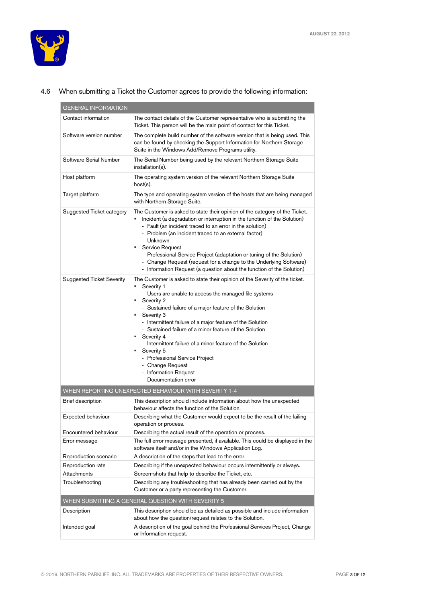

| <b>GENERAL INFORMATION</b>       |                                                                                                                                                                                                                                                                                                                                                                                                                                                                                                                                                                                 |  |
|----------------------------------|---------------------------------------------------------------------------------------------------------------------------------------------------------------------------------------------------------------------------------------------------------------------------------------------------------------------------------------------------------------------------------------------------------------------------------------------------------------------------------------------------------------------------------------------------------------------------------|--|
| Contact information              | The contact details of the Customer representative who is submitting the<br>Ticket. This person will be the main point of contact for this Ticket.                                                                                                                                                                                                                                                                                                                                                                                                                              |  |
| Software version number          | The complete build number of the software version that is being used. This<br>can be found by checking the Support Information for Northern Storage<br>Suite in the Windows Add/Remove Programs utility.                                                                                                                                                                                                                                                                                                                                                                        |  |
| Software Serial Number           | The Serial Number being used by the relevant Northern Storage Suite<br>installation(s).                                                                                                                                                                                                                                                                                                                                                                                                                                                                                         |  |
| Host platform                    | The operating system version of the relevant Northern Storage Suite<br>$host(s)$ .                                                                                                                                                                                                                                                                                                                                                                                                                                                                                              |  |
| Target platform                  | The type and operating system version of the hosts that are being managed<br>with Northern Storage Suite.                                                                                                                                                                                                                                                                                                                                                                                                                                                                       |  |
| Suggested Ticket category        | The Customer is asked to state their opinion of the category of the Ticket.<br>Incident (a degradation or interruption in the function of the Solution)<br>- Fault (an incident traced to an error in the solution)<br>- Problem (an incident traced to an external factor)<br>- Unknown<br>Service Request<br>- Professional Service Project (adaptation or tuning of the Solution)<br>- Change Request (request for a change to the Underlying Software)<br>- Information Request (a question about the function of the Solution)                                             |  |
| <b>Suggested Ticket Severity</b> | The Customer is asked to state their opinion of the Severity of the ticket.<br>Severity 1<br>- Users are unable to access the managed file systems<br>Severity 2<br>٠<br>- Sustained failure of a major feature of the Solution<br>Severity 3<br>٠<br>- Intermittent failure of a major feature of the Solution<br>- Sustained failure of a minor feature of the Solution<br>Severity 4<br>- Intermittent failure of a minor feature of the Solution<br>Severity 5<br>٠<br>- Professional Service Project<br>- Change Request<br>- Information Request<br>- Documentation error |  |
|                                  | WHEN REPORTING UNEXPECTED BEHAVIOUR WITH SEVERITY 1-4                                                                                                                                                                                                                                                                                                                                                                                                                                                                                                                           |  |
| Brief description                | This description should include information about how the unexpected<br>behaviour affects the function of the Solution.                                                                                                                                                                                                                                                                                                                                                                                                                                                         |  |
| <b>Expected behaviour</b>        | Describing what the Customer would expect to be the result of the failing<br>operation or process.                                                                                                                                                                                                                                                                                                                                                                                                                                                                              |  |
| Encountered behaviour            | Describing the actual result of the operation or process.                                                                                                                                                                                                                                                                                                                                                                                                                                                                                                                       |  |
| Error message                    | The full error message presented, if available. This could be displayed in the<br>software itself and/or in the Windows Application Log.                                                                                                                                                                                                                                                                                                                                                                                                                                        |  |
| Reproduction scenario            | A description of the steps that lead to the error.                                                                                                                                                                                                                                                                                                                                                                                                                                                                                                                              |  |
| Reproduction rate                | Describing if the unexpected behaviour occurs intermittently or always.                                                                                                                                                                                                                                                                                                                                                                                                                                                                                                         |  |
| Attachments                      | Screen-shots that help to describe the Ticket, etc.                                                                                                                                                                                                                                                                                                                                                                                                                                                                                                                             |  |
| Troubleshooting                  | Describing any troubleshooting that has already been carried out by the<br>Customer or a party representing the Customer.                                                                                                                                                                                                                                                                                                                                                                                                                                                       |  |
|                                  | WHEN SUBMITTING A GENERAL QUESTION WITH SEVERITY 5                                                                                                                                                                                                                                                                                                                                                                                                                                                                                                                              |  |
| Description                      | This description should be as detailed as possible and include information<br>about how the question/request relates to the Solution.                                                                                                                                                                                                                                                                                                                                                                                                                                           |  |
| Intended goal                    | A description of the goal behind the Professional Services Project, Change<br>or Information request.                                                                                                                                                                                                                                                                                                                                                                                                                                                                           |  |

### 4.6 When submitting a Ticket the Customer agrees to provide the following information: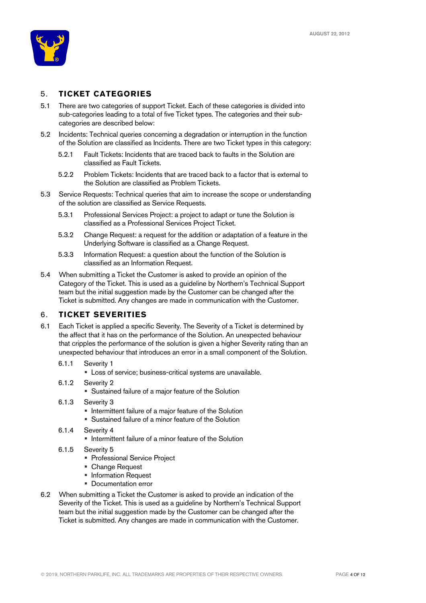

## 5. **TICKET CATEGORIES**

- 5.1 There are two categories of support Ticket. Each of these categories is divided into sub-categories leading to a total of five Ticket types. The categories and their subcategories are described below:
- 5.2 Incidents: Technical queries concerning a degradation or interruption in the function of the Solution are classified as Incidents. There are two Ticket types in this category:
	- 5.2.1 Fault Tickets: Incidents that are traced back to faults in the Solution are classified as Fault Tickets.
	- 5.2.2 Problem Tickets: Incidents that are traced back to a factor that is external to the Solution are classified as Problem Tickets.
- 5.3 Service Requests: Technical queries that aim to increase the scope or understanding of the solution are classified as Service Requests.
	- 5.3.1 Professional Services Project: a project to adapt or tune the Solution is classified as a Professional Services Project Ticket.
	- 5.3.2 Change Request: a request for the addition or adaptation of a feature in the Underlying Software is classified as a Change Request.
	- 5.3.3 Information Request: a question about the function of the Solution is classified as an Information Request.
- 5.4 When submitting a Ticket the Customer is asked to provide an opinion of the Category of the Ticket. This is used as a guideline by Northern's Technical Support team but the initial suggestion made by the Customer can be changed after the Ticket is submitted. Any changes are made in communication with the Customer.

#### 6. **TICKET SEVERITIES**

- 6.1 Each Ticket is applied a specific Severity. The Severity of a Ticket is determined by the affect that it has on the performance of the Solution. An unexpected behaviour that cripples the performance of the solution is given a higher Severity rating than an unexpected behaviour that introduces an error in a small component of the Solution.
	- 6.1.1 Severity 1
		- Loss of service; business-critical systems are unavailable.
	- 6.1.2 Severity 2
		- Sustained failure of a major feature of the Solution
	- 6.1.3 Severity 3
		- Intermittent failure of a major feature of the Solution
		- Sustained failure of a minor feature of the Solution
	- 6.1.4 Severity 4
		- Intermittent failure of a minor feature of the Solution
	- 6.1.5 Severity 5
		- Professional Service Project
		- Change Request
		- Information Request
		- Documentation error
- 6.2 When submitting a Ticket the Customer is asked to provide an indication of the Severity of the Ticket. This is used as a guideline by Northern's Technical Support team but the initial suggestion made by the Customer can be changed after the Ticket is submitted. Any changes are made in communication with the Customer.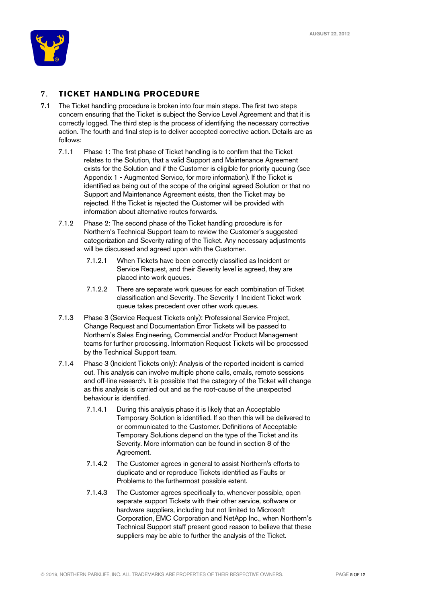

## 7. **TICKET HANDLING PROCEDURE**

- 7.1 The Ticket handling procedure is broken into four main steps. The first two steps concern ensuring that the Ticket is subject the Service Level Agreement and that it is correctly logged. The third step is the process of identifying the necessary corrective action. The fourth and final step is to deliver accepted corrective action. Details are as follows:
	- 7.1.1 Phase 1: The first phase of Ticket handling is to confirm that the Ticket relates to the Solution, that a valid Support and Maintenance Agreement exists for the Solution and if the Customer is eligible for priority queuing (see Appendix 1 - Augmented Service, for more information). If the Ticket is identified as being out of the scope of the original agreed Solution or that no Support and Maintenance Agreement exists, then the Ticket may be rejected. If the Ticket is rejected the Customer will be provided with information about alternative routes forwards.
	- 7.1.2 Phase 2: The second phase of the Ticket handling procedure is for Northern's Technical Support team to review the Customer's suggested categorization and Severity rating of the Ticket. Any necessary adjustments will be discussed and agreed upon with the Customer.
		- 7.1.2.1 When Tickets have been correctly classified as Incident or Service Request, and their Severity level is agreed, they are placed into work queues.
		- 7.1.2.2 There are separate work queues for each combination of Ticket classification and Severity. The Severity 1 Incident Ticket work queue takes precedent over other work queues.
	- 7.1.3 Phase 3 (Service Request Tickets only): Professional Service Project, Change Request and Documentation Error Tickets will be passed to Northern's Sales Engineering, Commercial and/or Product Management teams for further processing. Information Request Tickets will be processed by the Technical Support team.
	- 7.1.4 Phase 3 (Incident Tickets only): Analysis of the reported incident is carried out. This analysis can involve multiple phone calls, emails, remote sessions and off-line research. It is possible that the category of the Ticket will change as this analysis is carried out and as the root-cause of the unexpected behaviour is identified.
		- 7.1.4.1 During this analysis phase it is likely that an Acceptable Temporary Solution is identified. If so then this will be delivered to or communicated to the Customer. Definitions of Acceptable Temporary Solutions depend on the type of the Ticket and its Severity. More information can be found in section 8 of the Agreement.
		- 7.1.4.2 The Customer agrees in general to assist Northern's efforts to duplicate and or reproduce Tickets identified as Faults or Problems to the furthermost possible extent.
		- 7.1.4.3 The Customer agrees specifically to, whenever possible, open separate support Tickets with their other service, software or hardware suppliers, including but not limited to Microsoft Corporation, EMC Corporation and NetApp Inc., when Northern's Technical Support staff present good reason to believe that these suppliers may be able to further the analysis of the Ticket.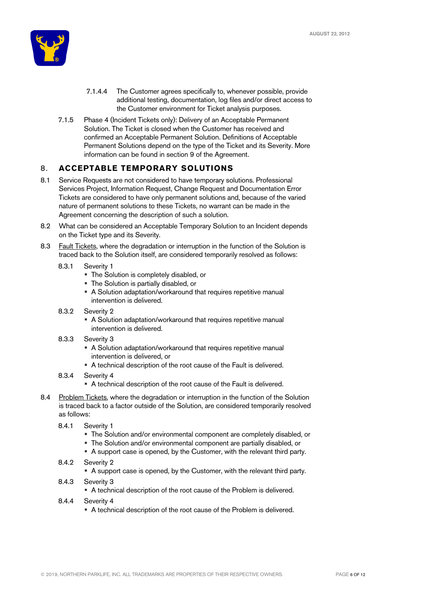

- 7.1.4.4 The Customer agrees specifically to, whenever possible, provide additional testing, documentation, log files and/or direct access to the Customer environment for Ticket analysis purposes.
- 7.1.5 Phase 4 (Incident Tickets only): Delivery of an Acceptable Permanent Solution. The Ticket is closed when the Customer has received and confirmed an Acceptable Permanent Solution. Definitions of Acceptable Permanent Solutions depend on the type of the Ticket and its Severity. More information can be found in section 9 of the Agreement.

## 8. **ACCEPTABLE TEMPORARY SOLUTIONS**

- 8.1 Service Requests are not considered to have temporary solutions. Professional Services Project, Information Request, Change Request and Documentation Error Tickets are considered to have only permanent solutions and, because of the varied nature of permanent solutions to these Tickets, no warrant can be made in the Agreement concerning the description of such a solution.
- 8.2 What can be considered an Acceptable Temporary Solution to an Incident depends on the Ticket type and its Severity.
- 8.3 Fault Tickets, where the degradation or interruption in the function of the Solution is traced back to the Solution itself, are considered temporarily resolved as follows:
	- 8.3.1 Severity 1
		- § The Solution is completely disabled, or
		- The Solution is partially disabled, or
		- A Solution adaptation/workaround that requires repetitive manual intervention is delivered.
	- 8.3.2 Severity 2
		- A Solution adaptation/workaround that requires repetitive manual intervention is delivered.
	- 8.3.3 Severity 3
		- A Solution adaptation/workaround that requires repetitive manual intervention is delivered, or
		- A technical description of the root cause of the Fault is delivered.
	- 8.3.4 Severity 4
		- A technical description of the root cause of the Fault is delivered.
- 8.4 Problem Tickets, where the degradation or interruption in the function of the Solution is traced back to a factor outside of the Solution, are considered temporarily resolved as follows:
	- 8.4.1 Severity 1
		- § The Solution and/or environmental component are completely disabled, or
		- The Solution and/or environmental component are partially disabled, or
		- A support case is opened, by the Customer, with the relevant third party.
	- 8.4.2 Severity 2
		- A support case is opened, by the Customer, with the relevant third party.
	- 8.4.3 Severity 3
		- A technical description of the root cause of the Problem is delivered.
	- 8.4.4 Severity 4
		- A technical description of the root cause of the Problem is delivered.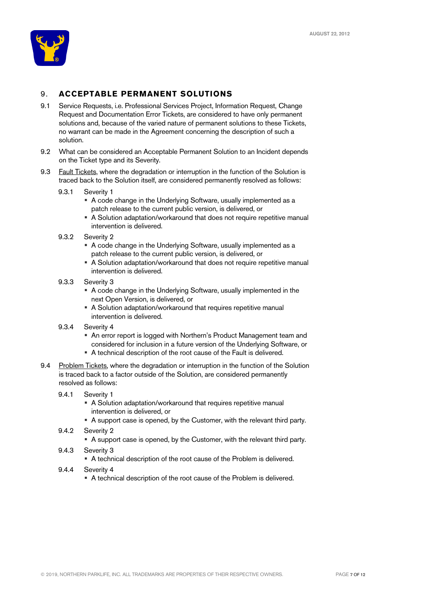

## 9. **ACCEPTABLE PERMANENT SOLUTIONS**

- 9.1 Service Requests, i.e. Professional Services Project, Information Request, Change Request and Documentation Error Tickets, are considered to have only permanent solutions and, because of the varied nature of permanent solutions to these Tickets, no warrant can be made in the Agreement concerning the description of such a solution.
- 9.2 What can be considered an Acceptable Permanent Solution to an Incident depends on the Ticket type and its Severity.
- 9.3 Fault Tickets, where the degradation or interruption in the function of the Solution is traced back to the Solution itself, are considered permanently resolved as follows:
	- 9.3.1 Severity 1
		- A code change in the Underlying Software, usually implemented as a patch release to the current public version, is delivered, or
		- A Solution adaptation/workaround that does not require repetitive manual intervention is delivered.
	- 9.3.2 Severity 2
		- A code change in the Underlying Software, usually implemented as a patch release to the current public version, is delivered, or
		- A Solution adaptation/workaround that does not require repetitive manual intervention is delivered.
	- 9.3.3 Severity 3
		- A code change in the Underlying Software, usually implemented in the next Open Version, is delivered, or
		- A Solution adaptation/workaround that requires repetitive manual intervention is delivered.
	- 9.3.4 Severity 4
		- An error report is logged with Northern's Product Management team and considered for inclusion in a future version of the Underlying Software, or
		- A technical description of the root cause of the Fault is delivered.
- 9.4 Problem Tickets, where the degradation or interruption in the function of the Solution is traced back to a factor outside of the Solution, are considered permanently resolved as follows:
	- 9.4.1 Severity 1
		- A Solution adaptation/workaround that requires repetitive manual intervention is delivered, or
		- A support case is opened, by the Customer, with the relevant third party.
	- 9.4.2 Severity 2
		- A support case is opened, by the Customer, with the relevant third party.
	- 9.4.3 Severity 3
		- A technical description of the root cause of the Problem is delivered.
	- 9.4.4 Severity 4
		- A technical description of the root cause of the Problem is delivered.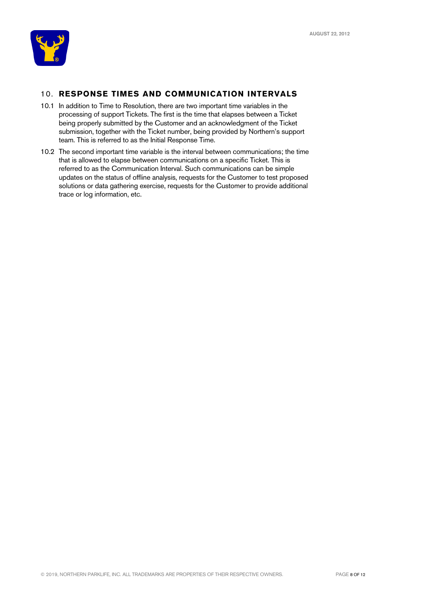

## 10. **RESPONSE TIMES AND COMMUNICATION INTERVALS**

- 10.1 In addition to Time to Resolution, there are two important time variables in the processing of support Tickets. The first is the time that elapses between a Ticket being properly submitted by the Customer and an acknowledgment of the Ticket submission, together with the Ticket number, being provided by Northern's support team. This is referred to as the Initial Response Time.
- 10.2 The second important time variable is the interval between communications; the time that is allowed to elapse between communications on a specific Ticket. This is referred to as the Communication Interval. Such communications can be simple updates on the status of offline analysis, requests for the Customer to test proposed solutions or data gathering exercise, requests for the Customer to provide additional trace or log information, etc.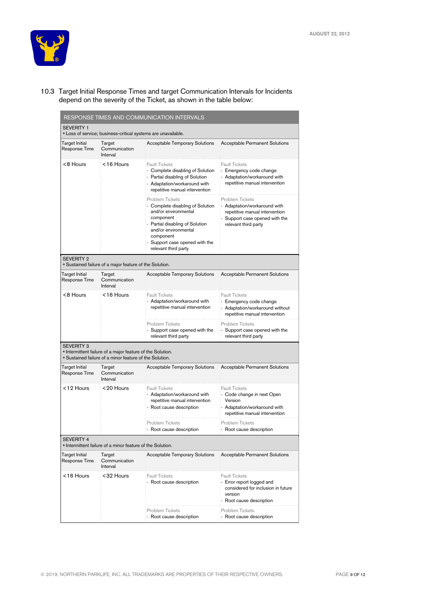

10.3 Target Initial Response Times and target Communication Intervals for Incidents depend on the severity of the Ticket, as shown in the table below:

| <b>SEVERITY 1</b>                      |                                                                                                                     |                                                                                                                                                                                                                            |                                                                                                                                                  |
|----------------------------------------|---------------------------------------------------------------------------------------------------------------------|----------------------------------------------------------------------------------------------------------------------------------------------------------------------------------------------------------------------------|--------------------------------------------------------------------------------------------------------------------------------------------------|
|                                        | " Loss of service; business-critical systems are unavailable.                                                       |                                                                                                                                                                                                                            |                                                                                                                                                  |
| Target Initial<br>Response Time        | Target<br>Communication<br>Interval                                                                                 | <b>Acceptable Temporary Solutions</b>                                                                                                                                                                                      | <b>Acceptable Permanent Solutions</b>                                                                                                            |
| <8 Hours                               | <16 Hours                                                                                                           | <b>Fault Tickets</b><br>- Complete disabling of Solution<br>- Partial disabling of Solution<br>- Adaptation/workaround with<br>repetitive manual intervention                                                              | <b>Fault Tickets</b><br>- Emergency code change<br>- Adaptation/workaround with<br>repetitive manual intervention                                |
|                                        |                                                                                                                     | Problem Tickets<br>- Complete disabling of Solution<br>and/or environmental<br>component<br>- Partial disabling of Solution<br>and/or environmental<br>component<br>- Support case opened with the<br>relevant third party | <b>Problem Tickets</b><br>- Adaptation/workaround with<br>repetitive manual intervention<br>Support case opened with the<br>relevant third party |
| <b>SEVERITY 2</b>                      | " Sustained failure of a major feature of the Solution.                                                             |                                                                                                                                                                                                                            |                                                                                                                                                  |
| Target Initial<br>Response Time        | Target<br>Communication<br>Interval                                                                                 | <b>Acceptable Temporary Solutions</b>                                                                                                                                                                                      | Acceptable Permanent Solutions                                                                                                                   |
| <8 Hours                               | $< 16$ Hours                                                                                                        | <b>Fault Tickets</b><br>- Adaptation/workaround with<br>repetitive manual intervention                                                                                                                                     | <b>Fault Tickets</b><br>- Emergency code change<br>Adaptation/workaround without<br>repetitive manual intervention                               |
|                                        |                                                                                                                     | Problem Tickets<br>- Support case opened with the<br>relevant third party                                                                                                                                                  | Problem Tickets<br>- Support case opened with the<br>relevant third party                                                                        |
| <b>SEVERITY 3</b>                      | Intermittent failure of a major feature of the Solution.<br>" Sustained failure of a minor feature of the Solution. |                                                                                                                                                                                                                            |                                                                                                                                                  |
| Target Initial<br>Response Time        | Target<br>Communication<br>Interval                                                                                 | Acceptable Temporary Solutions                                                                                                                                                                                             | Acceptable Permanent Solutions                                                                                                                   |
| <12 Hours                              | <20 Hours                                                                                                           | <b>Fault Tickets</b><br>- Adaptation/workaround with<br>repetitive manual intervention<br>- Root cause description                                                                                                         | <b>Fault Tickets</b><br>- Code change in next Open<br>Version<br>- Adaptation/workaround with<br>repetitive manual intervention                  |
|                                        |                                                                                                                     | Problem Tickets<br>- Root cause description                                                                                                                                                                                | Problem Tickets<br>- Root cause description                                                                                                      |
| <b>SEVERITY 4</b>                      | Intermittent failure of a minor feature of the Solution.                                                            |                                                                                                                                                                                                                            |                                                                                                                                                  |
| <b>Target Initial</b><br>Response Time | Target<br>Communication<br>Interval                                                                                 | <b>Acceptable Temporary Solutions</b>                                                                                                                                                                                      | Acceptable Permanent Solutions                                                                                                                   |
| <16 Hours                              | <32 Hours                                                                                                           | <b>Fault Tickets</b><br>- Root cause description                                                                                                                                                                           | <b>Fault Tickets</b><br>- Error report logged and<br>considered for inclusion in future<br>version<br>- Root cause description                   |
|                                        |                                                                                                                     | Problem Tickets<br>- Root cause description                                                                                                                                                                                | <b>Problem Tickets</b><br>- Root cause description                                                                                               |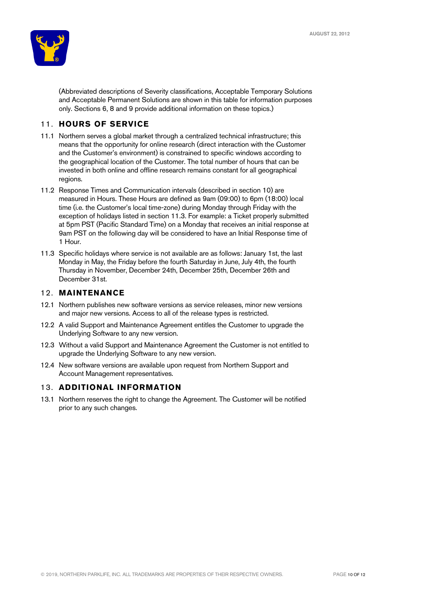

(Abbreviated descriptions of Severity classifications, Acceptable Temporary Solutions and Acceptable Permanent Solutions are shown in this table for information purposes only. Sections 6, 8 and 9 provide additional information on these topics.)

## 11. **HOURS OF SERVICE**

- 11.1 Northern serves a global market through a centralized technical infrastructure; this means that the opportunity for online research (direct interaction with the Customer and the Customer's environment) is constrained to specific windows according to the geographical location of the Customer. The total number of hours that can be invested in both online and offline research remains constant for all geographical regions.
- 11.2 Response Times and Communication intervals (described in section 10) are measured in Hours. These Hours are defined as 9am (09:00) to 6pm (18:00) local time (i.e. the Customer's local time-zone) during Monday through Friday with the exception of holidays listed in section 11.3. For example: a Ticket properly submitted at 5pm PST (Pacific Standard Time) on a Monday that receives an initial response at 9am PST on the following day will be considered to have an Initial Response time of 1 Hour.
- 11.3 Specific holidays where service is not available are as follows: January 1st, the last Monday in May, the Friday before the fourth Saturday in June, July 4th, the fourth Thursday in November, December 24th, December 25th, December 26th and December 31st.

#### 12. **MAINTENANCE**

- 12.1 Northern publishes new software versions as service releases, minor new versions and major new versions. Access to all of the release types is restricted.
- 12.2 A valid Support and Maintenance Agreement entitles the Customer to upgrade the Underlying Software to any new version.
- 12.3 Without a valid Support and Maintenance Agreement the Customer is not entitled to upgrade the Underlying Software to any new version.
- 12.4 New software versions are available upon request from Northern Support and Account Management representatives.

#### 13. **ADDITIONAL INFORMATION**

13.1 Northern reserves the right to change the Agreement. The Customer will be notified prior to any such changes.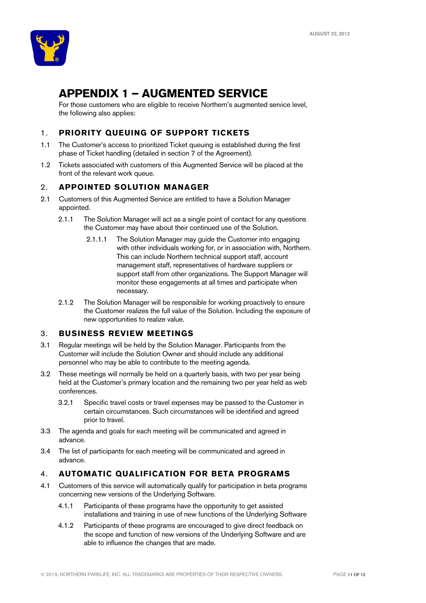

# **APPENDIX 1 – AUGMENTED SERVICE**

For those customers who are eligible to receive Northern's augmented service level, the following also applies:

## 1. **PRIORITY QUEUING OF SUPPORT TICKETS**

- 1.1 The Customer's access to prioritized Ticket queuing is established during the first phase of Ticket handling (detailed in section 7 of the Agreement).
- 1.2 Tickets associated with customers of this Augmented Service will be placed at the front of the relevant work queue.

### 2. **APPOINTED SOLUTION MANAGER**

- 2.1 Customers of this Augmented Service are entitled to have a Solution Manager appointed.
	- 2.1.1 The Solution Manager will act as a single point of contact for any questions the Customer may have about their continued use of the Solution.
		- 2.1.1.1 The Solution Manager may guide the Customer into engaging with other individuals working for, or in association with, Northern. This can include Northern technical support staff, account management staff, representatives of hardware suppliers or support staff from other organizations. The Support Manager will monitor these engagements at all times and participate when necessary.
	- 2.1.2 The Solution Manager will be responsible for working proactively to ensure the Customer realizes the full value of the Solution. Including the exposure of new opportunities to realize value.

#### 3. **BUSINESS REVIEW MEETINGS**

- 3.1 Regular meetings will be held by the Solution Manager. Participants from the Customer will include the Solution Owner and should include any additional personnel who may be able to contribute to the meeting agenda.
- 3.2 These meetings will normally be held on a quarterly basis, with two per year being held at the Customer's primary location and the remaining two per year held as web conferences.
	- 3.2.1 Specific travel costs or travel expenses may be passed to the Customer in certain circumstances. Such circumstances will be identified and agreed prior to travel.
- 3.3 The agenda and goals for each meeting will be communicated and agreed in advance.
- 3.4 The list of participants for each meeting will be communicated and agreed in advance.

### 4. **AUTOMATIC QUALIFICATION FOR BETA PROGRAMS**

- 4.1 Customers of this service will automatically qualify for participation in beta programs concerning new versions of the Underlying Software.
	- 4.1.1 Participants of these programs have the opportunity to get assisted installations and training in use of new functions of the Underlying Software
	- 4.1.2 Participants of these programs are encouraged to give direct feedback on the scope and function of new versions of the Underlying Software and are able to influence the changes that are made.